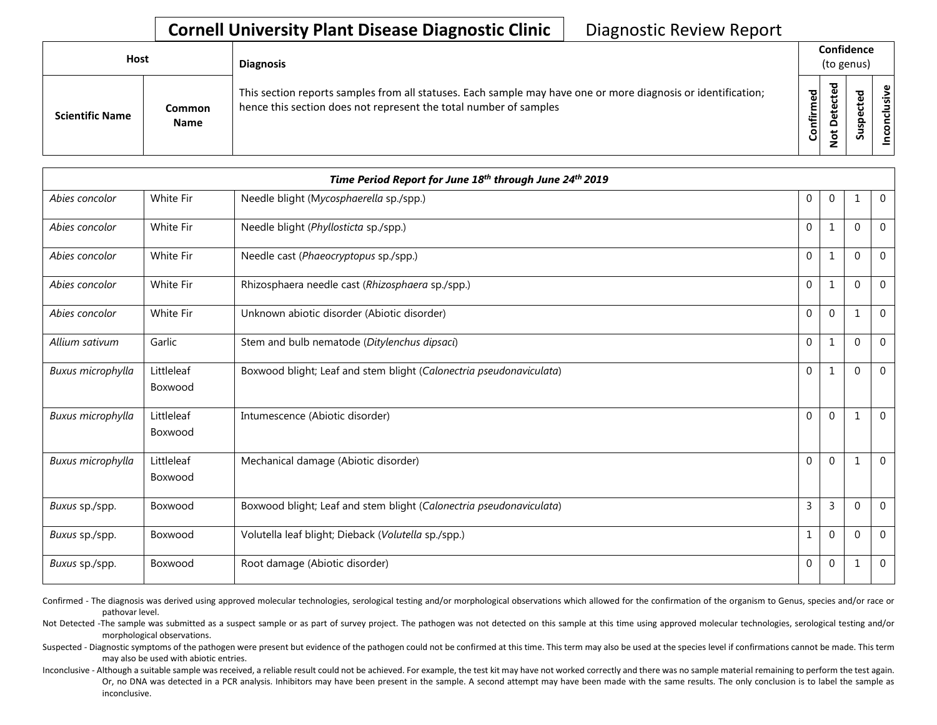| <b>Host</b>            |                       | <b>Diagnosis</b>                                                                                                                                                                   |           | Confidence<br>(to genus) |             |                 |  |  |  |
|------------------------|-----------------------|------------------------------------------------------------------------------------------------------------------------------------------------------------------------------------|-----------|--------------------------|-------------|-----------------|--|--|--|
| <b>Scientific Name</b> | Common<br><b>Name</b> | This section reports samples from all statuses. Each sample may have one or more diagnosis or identification;<br>hence this section does not represent the total number of samples | Confirmed | ъ<br>≏<br>سە             | ᇰ<br>š<br>S | usive<br>nconcl |  |  |  |

|                   |                       | Time Period Report for June 18th through June 24th 2019             |              |              |              |                |
|-------------------|-----------------------|---------------------------------------------------------------------|--------------|--------------|--------------|----------------|
| Abies concolor    | White Fir             | Needle blight (Mycosphaerella sp./spp.)                             | $\mathbf 0$  | $\mathbf 0$  |              | $\overline{0}$ |
| Abies concolor    | White Fir             | Needle blight (Phyllosticta sp./spp.)                               | $\mathbf{0}$ | 1            | $\Omega$     | $\mathbf{0}$   |
| Abies concolor    | White Fir             | Needle cast (Phaeocryptopus sp./spp.)                               | $\mathbf{0}$ | 1            | $\Omega$     | $\overline{0}$ |
| Abies concolor    | White Fir             | Rhizosphaera needle cast (Rhizosphaera sp./spp.)                    | $\mathbf{0}$ | 1            | $\Omega$     | $\mathbf{0}$   |
| Abies concolor    | White Fir             | Unknown abiotic disorder (Abiotic disorder)                         | $\Omega$     | $\mathbf{0}$ | $\mathbf{1}$ | $\mathbf{0}$   |
| Allium sativum    | Garlic                | Stem and bulb nematode (Ditylenchus dipsaci)                        | $\mathbf 0$  | 1            | $\Omega$     | $\Omega$       |
| Buxus microphylla | Littleleaf<br>Boxwood | Boxwood blight; Leaf and stem blight (Calonectria pseudonaviculata) | $\mathbf{0}$ | 1            | $\Omega$     | $\Omega$       |
| Buxus microphylla | Littleleaf<br>Boxwood | Intumescence (Abiotic disorder)                                     | $\mathbf{0}$ | $\mathbf{0}$ |              | $\mathbf{0}$   |
| Buxus microphylla | Littleleaf<br>Boxwood | Mechanical damage (Abiotic disorder)                                | $\mathbf{0}$ | $\mathbf{0}$ |              | $\mathbf 0$    |
| Buxus sp./spp.    | Boxwood               | Boxwood blight; Leaf and stem blight (Calonectria pseudonaviculata) | 3            | 3            | $\Omega$     | $\Omega$       |
| Buxus sp./spp.    | Boxwood               | Volutella leaf blight; Dieback (Volutella sp./spp.)                 |              | $\mathbf{0}$ | $\Omega$     | $\mathbf{0}$   |
| Buxus sp./spp.    | Boxwood               | Root damage (Abiotic disorder)                                      | 0            | $\mathbf{0}$ | 1            | $\mathbf{0}$   |

Confirmed - The diagnosis was derived using approved molecular technologies, serological testing and/or morphological observations which allowed for the confirmation of the organism to Genus, species and/or race or pathovar level.

Not Detected -The sample was submitted as a suspect sample or as part of survey project. The pathogen was not detected on this sample at this time using approved molecular technologies, serological testing and/or morphological observations.

Suspected - Diagnostic symptoms of the pathogen were present but evidence of the pathogen could not be confirmed at this time. This term may also be used at the species level if confirmations cannot be made. This term may also be used with abiotic entries.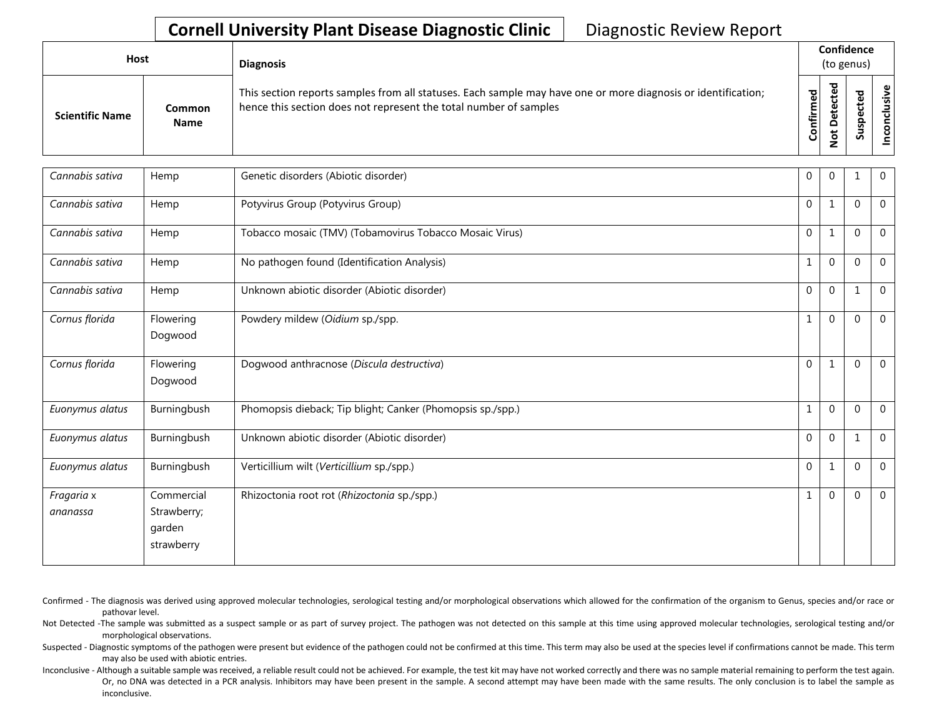| Host                   |                              | <b>Diagnosis</b>                                                                                                                                                                   |                    |                           | Confidence<br>(to genus)   |                               |  |
|------------------------|------------------------------|------------------------------------------------------------------------------------------------------------------------------------------------------------------------------------|--------------------|---------------------------|----------------------------|-------------------------------|--|
| <b>Scientific Name</b> | <b>Common</b><br><b>Name</b> | This section reports samples from all statuses. Each sample may have one or more diagnosis or identification;<br>hence this section does not represent the total number of samples | ъ<br>ω<br>Confirme | ъ<br>ຼື<br>$\Omega$<br>سه | ъ<br>Φ<br>ω<br>௨<br>s<br>ഗ | ၿ၊<br>$\dot{\mathbf{s}}$<br>۰ |  |

| Cannabis sativa        | Hemp                                              | Genetic disorders (Abiotic disorder)                       | $\mathbf 0$  | $\overline{0}$ |          | $\mathbf 0$    |
|------------------------|---------------------------------------------------|------------------------------------------------------------|--------------|----------------|----------|----------------|
| Cannabis sativa        | Hemp                                              | Potyvirus Group (Potyvirus Group)                          | $\mathbf 0$  | 1              | $\Omega$ | $\overline{0}$ |
| Cannabis sativa        | Hemp                                              | Tobacco mosaic (TMV) (Tobamovirus Tobacco Mosaic Virus)    | $\mathbf 0$  | $\mathbf{1}$   | $\Omega$ | $\mathbf{0}$   |
| Cannabis sativa        | Hemp                                              | No pathogen found (Identification Analysis)                | 1            | $\mathbf 0$    | $\Omega$ | $\overline{0}$ |
| Cannabis sativa        | Hemp                                              | Unknown abiotic disorder (Abiotic disorder)                | $\mathbf{0}$ | $\mathbf{0}$   | 1        | $\mathbf 0$    |
| Cornus florida         | Flowering<br>Dogwood                              | Powdery mildew (Oidium sp./spp.                            | $\mathbf{1}$ | $\mathbf{0}$   | $\Omega$ | $\overline{0}$ |
| Cornus florida         | Flowering<br>Dogwood                              | Dogwood anthracnose (Discula destructiva)                  | $\mathbf 0$  | 1              | $\Omega$ | $\overline{0}$ |
| Euonymus alatus        | Burningbush                                       | Phomopsis dieback; Tip blight; Canker (Phomopsis sp./spp.) | $\mathbf{1}$ | $\mathbf 0$    | $\Omega$ | $\mathbf 0$    |
| Euonymus alatus        | Burningbush                                       | Unknown abiotic disorder (Abiotic disorder)                | $\Omega$     | $\mathbf{0}$   | 1        | $\Omega$       |
| Euonymus alatus        | Burningbush                                       | Verticillium wilt (Verticillium sp./spp.)                  | $\mathbf 0$  | 1              | $\Omega$ | $\mathbf{0}$   |
| Fragaria x<br>ananassa | Commercial<br>Strawberry;<br>garden<br>strawberry | Rhizoctonia root rot (Rhizoctonia sp./spp.)                | $\mathbf{1}$ | $\mathbf{0}$   | $\Omega$ | $\mathbf 0$    |

Confirmed - The diagnosis was derived using approved molecular technologies, serological testing and/or morphological observations which allowed for the confirmation of the organism to Genus, species and/or race or pathovar level.

Not Detected -The sample was submitted as a suspect sample or as part of survey project. The pathogen was not detected on this sample at this time using approved molecular technologies, serological testing and/or morphological observations.

Suspected - Diagnostic symptoms of the pathogen were present but evidence of the pathogen could not be confirmed at this time. This term may also be used at the species level if confirmations cannot be made. This term may also be used with abiotic entries.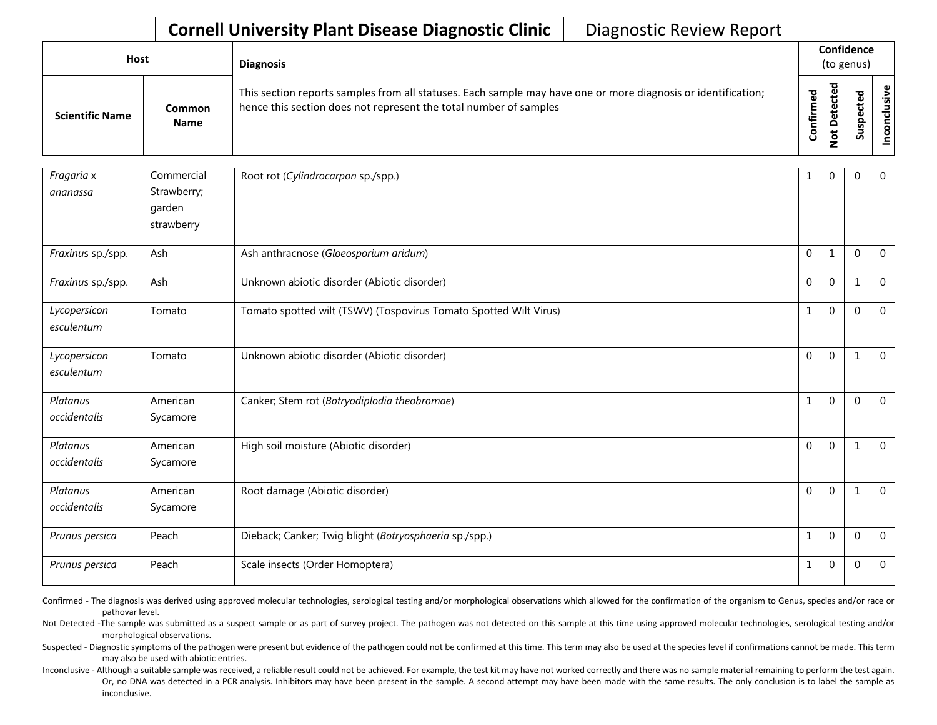| Host                   |                       | <b>Diagnosis</b>                                                                                                                                                                   |           | Confidence<br>(to genus) |             |  |  |  |  |  |  |
|------------------------|-----------------------|------------------------------------------------------------------------------------------------------------------------------------------------------------------------------------|-----------|--------------------------|-------------|--|--|--|--|--|--|
| <b>Scientific Name</b> | <b>Common</b><br>Name | This section reports samples from all statuses. Each sample may have one or more diagnosis or identification;<br>hence this section does not represent the total number of samples | Confirmed | ъ<br>ں<br>۵<br>سە        | ъ<br>s<br>n |  |  |  |  |  |  |

| Fragaria x                 | Commercial           | Root rot (Cylindrocarpon sp./spp.)                                | 1            | $\mathbf{0}$ | $\Omega$     | $\Omega$    |
|----------------------------|----------------------|-------------------------------------------------------------------|--------------|--------------|--------------|-------------|
| ananassa                   | Strawberry;          |                                                                   |              |              |              |             |
|                            | garden               |                                                                   |              |              |              |             |
|                            | strawberry           |                                                                   |              |              |              |             |
| Fraxinus sp./spp.          | Ash                  | Ash anthracnose (Gloeosporium aridum)                             | $\Omega$     | $1\,$        | $\Omega$     | $\mathbf 0$ |
| Fraxinus sp./spp.          | Ash                  | Unknown abiotic disorder (Abiotic disorder)                       | $\Omega$     | $\mathbf{0}$ | $\mathbf{1}$ | $\Omega$    |
| Lycopersicon<br>esculentum | Tomato               | Tomato spotted wilt (TSWV) (Tospovirus Tomato Spotted Wilt Virus) | $\mathbf{1}$ | $\mathbf 0$  | 0            | $\mathbf 0$ |
| Lycopersicon<br>esculentum | Tomato               | Unknown abiotic disorder (Abiotic disorder)                       | $\mathbf 0$  | $\mathbf 0$  | $\mathbf 1$  | $\Omega$    |
| Platanus<br>occidentalis   | American<br>Sycamore | Canker; Stem rot (Botryodiplodia theobromae)                      | $\mathbf{1}$ | $\mathbf 0$  | 0            | $\mathbf 0$ |
| Platanus<br>occidentalis   | American<br>Sycamore | High soil moisture (Abiotic disorder)                             | $\mathbf 0$  | $\mathbf 0$  | $\mathbf 1$  | $\mathbf 0$ |
| Platanus<br>occidentalis   | American<br>Sycamore | Root damage (Abiotic disorder)                                    | $\Omega$     | $\mathbf{0}$ | $\mathbf 1$  | $\Omega$    |
| Prunus persica             | Peach                | Dieback; Canker; Twig blight (Botryosphaeria sp./spp.)            | $\mathbf{1}$ | $\mathbf{0}$ | 0            | $\mathbf 0$ |
| Prunus persica             | Peach                | Scale insects (Order Homoptera)                                   | $\mathbf{1}$ | $\mathbf{0}$ | 0            | $\mathbf 0$ |

Confirmed - The diagnosis was derived using approved molecular technologies, serological testing and/or morphological observations which allowed for the confirmation of the organism to Genus, species and/or race or pathovar level.

Not Detected -The sample was submitted as a suspect sample or as part of survey project. The pathogen was not detected on this sample at this time using approved molecular technologies, serological testing and/or morphological observations.

Suspected - Diagnostic symptoms of the pathogen were present but evidence of the pathogen could not be confirmed at this time. This term may also be used at the species level if confirmations cannot be made. This term may also be used with abiotic entries.